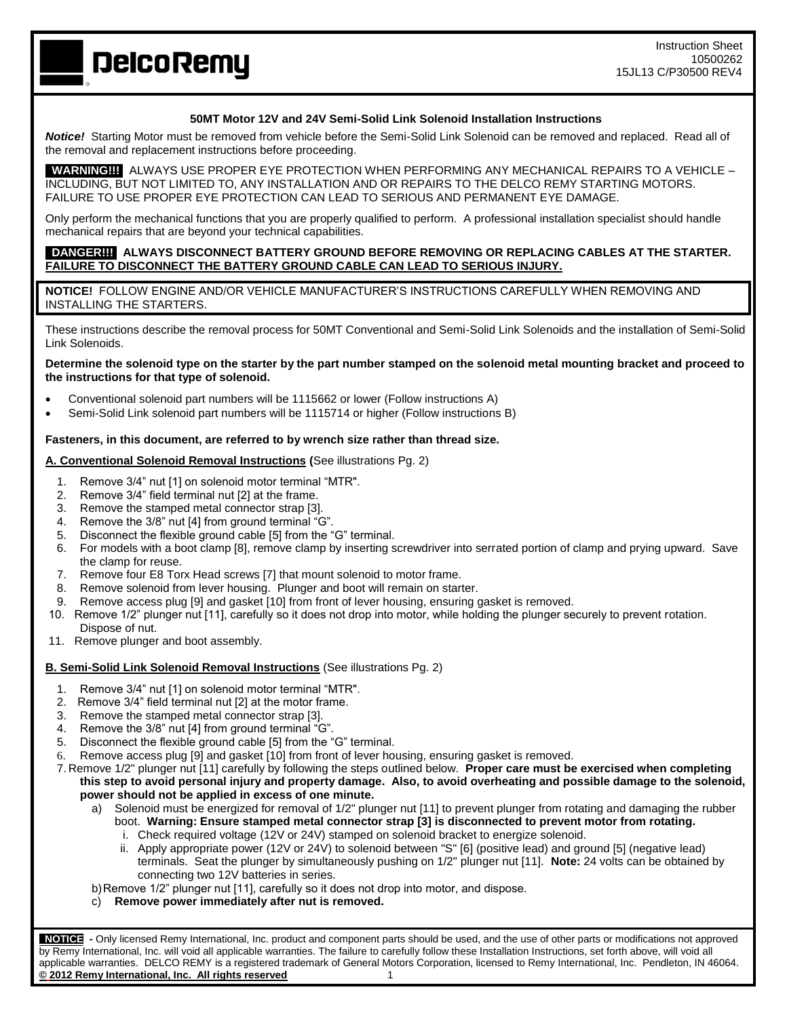**DelcoRemy** 

# **50MT Motor 12V and 24V Semi-Solid Link Solenoid Installation Instructions**

*Notice!* Starting Motor must be removed from vehicle before the Semi-Solid Link Solenoid can be removed and replaced. Read all of the removal and replacement instructions before proceeding.

 **WARNING!!!** ALWAYS USE PROPER EYE PROTECTION WHEN PERFORMING ANY MECHANICAL REPAIRS TO A VEHICLE – INCLUDING, BUT NOT LIMITED TO, ANY INSTALLATION AND OR REPAIRS TO THE DELCO REMY STARTING MOTORS. FAILURE TO USE PROPER EYE PROTECTION CAN LEAD TO SERIOUS AND PERMANENT EYE DAMAGE.

Only perform the mechanical functions that you are properly qualified to perform. A professional installation specialist should handle mechanical repairs that are beyond your technical capabilities.

# **DANGER!!! ALWAYS DISCONNECT BATTERY GROUND BEFORE REMOVING OR REPLACING CABLES AT THE STARTER. FAILURE TO DISCONNECT THE BATTERY GROUND CABLE CAN LEAD TO SERIOUS INJURY.**

**NOTICE!** FOLLOW ENGINE AND/OR VEHICLE MANUFACTURER'S INSTRUCTIONS CAREFULLY WHEN REMOVING AND INSTALLING THE STARTERS.

These instructions describe the removal process for 50MT Conventional and Semi-Solid Link Solenoids and the installation of Semi-Solid Link Solenoids.

**Determine the solenoid type on the starter by the part number stamped on the solenoid metal mounting bracket and proceed to the instructions for that type of solenoid.** 

- Conventional solenoid part numbers will be 1115662 or lower (Follow instructions A)
- Semi-Solid Link solenoid part numbers will be 1115714 or higher (Follow instructions B)

## **Fasteners, in this document, are referred to by wrench size rather than thread size.**

## **A. Conventional Solenoid Removal Instructions (**See illustrations Pg. 2)

- 1. Remove 3/4" nut [1] on solenoid motor terminal "MTR".
- 2. Remove 3/4" field terminal nut [2] at the frame.
- 3. Remove the stamped metal connector strap [3].
- 4. Remove the 3/8" nut [4] from ground terminal "G".
- 5. Disconnect the flexible ground cable [5] from the "G" terminal.
- 6. For models with a boot clamp [8], remove clamp by inserting screwdriver into serrated portion of clamp and prying upward. Save the clamp for reuse.
- 7. Remove four E8 Torx Head screws [7] that mount solenoid to motor frame.
- 8. Remove solenoid from lever housing. Plunger and boot will remain on starter.
- 9. Remove access plug [9] and gasket [10] from front of lever housing, ensuring gasket is removed.
- 10. Remove 1/2" plunger nut [11], carefully so it does not drop into motor, while holding the plunger securely to prevent rotation. Dispose of nut.
- 11. Remove plunger and boot assembly.

## **B. Semi-Solid Link Solenoid Removal Instructions** (See illustrations Pg. 2)

- 1. Remove 3/4" nut [1] on solenoid motor terminal "MTR".
- 2. Remove 3/4" field terminal nut [2] at the motor frame.
- 3. Remove the stamped metal connector strap [3].
- 4. Remove the 3/8" nut [4] from ground terminal "G".
- 5. Disconnect the flexible ground cable [5] from the "G" terminal.
- 6. Remove access plug [9] and gasket [10] from front of lever housing, ensuring gasket is removed.
- 7. Remove 1/2" plunger nut [11] carefully by following the steps outlined below. **Proper care must be exercised when completing this step to avoid personal injury and property damage. Also, to avoid overheating and possible damage to the solenoid, power should not be applied in excess of one minute.**
	- a) Solenoid must be energized for removal of 1/2" plunger nut [11] to prevent plunger from rotating and damaging the rubber boot. **Warning: Ensure stamped metal connector strap [3] is disconnected to prevent motor from rotating.**
		- i. Check required voltage (12V or 24V) stamped on solenoid bracket to energize solenoid.
		- ii. Apply appropriate power (12V or 24V) to solenoid between "S" [6] (positive lead) and ground [5] (negative lead) terminals. Seat the plunger by simultaneously pushing on 1/2" plunger nut [11]. **Note:** 24 volts can be obtained by connecting two 12V batteries in series.
	- b)Remove 1/2" plunger nut [11], carefully so it does not drop into motor, and dispose.
	- c) **Remove power immediately after nut is removed.**

 **NOTICE -** Only licensed Remy International, Inc. product and component parts should be used, and the use of other parts or modifications not approved by Remy International, Inc. will void all applicable warranties. The failure to carefully follow these Installation Instructions, set forth above, will void all applicable warranties. DELCO REMY is a registered trademark of General Motors Corporation, licensed to Remy International, Inc. Pendleton, IN 46064. **© 2012 Remy International, Inc. All rights reserved** 1